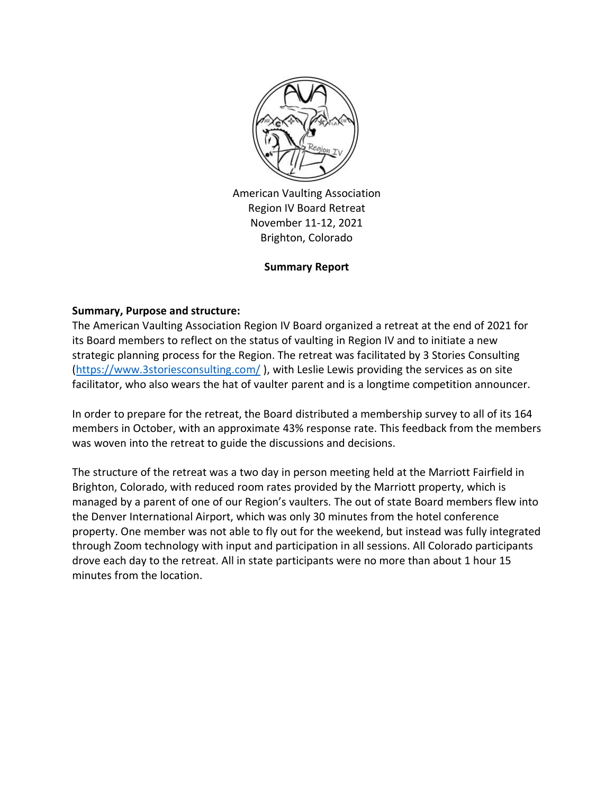

American Vaulting Association Region IV Board Retreat November 11-12, 2021 Brighton, Colorado

## **Summary Report**

### **Summary, Purpose and structure:**

The American Vaulting Association Region IV Board organized a retreat at the end of 2021 for its Board members to reflect on the status of vaulting in Region IV and to initiate a new strategic planning process for the Region. The retreat was facilitated by 3 Stories Consulting [\(https://www.3storiesconsulting.com/](https://www.3storiesconsulting.com/) ), with Leslie Lewis providing the services as on site facilitator, who also wears the hat of vaulter parent and is a longtime competition announcer.

In order to prepare for the retreat, the Board distributed a membership survey to all of its 164 members in October, with an approximate 43% response rate. This feedback from the members was woven into the retreat to guide the discussions and decisions.

The structure of the retreat was a two day in person meeting held at the Marriott Fairfield in Brighton, Colorado, with reduced room rates provided by the Marriott property, which is managed by a parent of one of our Region's vaulters. The out of state Board members flew into the Denver International Airport, which was only 30 minutes from the hotel conference property. One member was not able to fly out for the weekend, but instead was fully integrated through Zoom technology with input and participation in all sessions. All Colorado participants drove each day to the retreat. All in state participants were no more than about 1 hour 15 minutes from the location.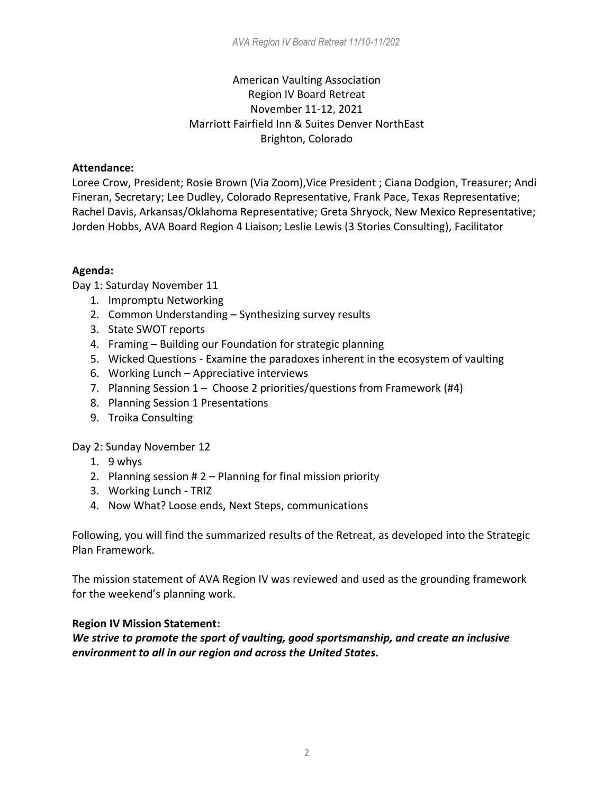# American Vaulting Association Region IV Board Retreat November 11-12, 2021 Marriott Fairfield Inn & Suites Denver NorthEast Brighton, Colorado

### **Attendance:**

Loree Crow, President; Rosie Brown (Via Zoom),Vice President ; Ciana Dodgion, Treasurer; Andi Fineran, Secretary; Lee Dudley, Colorado Representative, Frank Pace, Texas Representative; Rachel Davis, Arkansas/Oklahoma Representative; Greta Shryock, New Mexico Representative; Jorden Hobbs, AVA Board Region 4 Liaison; Leslie Lewis (3 Stories Consulting), Facilitator

## **Agenda:**

Day 1: Saturday November 11

- 1. Impromptu Networking
- 2. Common Understanding Synthesizing survey results
- 3. State SWOT reports
- 4. Framing Building our Foundation for strategic planning
- 5. Wicked Questions Examine the paradoxes inherent in the ecosystem of vaulting
- 6. Working Lunch Appreciative interviews
- 7. Planning Session 1 Choose 2 priorities/questions from Framework (#4)
- 8. Planning Session 1 Presentations
- 9. Troika Consulting

Day 2: Sunday November 12

- 1. 9 whys
- 2. Planning session # 2 Planning for final mission priority
- 3. Working Lunch TRIZ
- 4. Now What? Loose ends, Next Steps, communications

Following, you will find the summarized results of the Retreat, as developed into the Strategic Plan Framework.

The mission statement of AVA Region IV was reviewed and used as the grounding framework for the weekend's planning work.

## **Region IV Mission Statement:**

*We strive to promote the sport of vaulting, good sportsmanship, and create an inclusive environment to all in our region and across the United States.*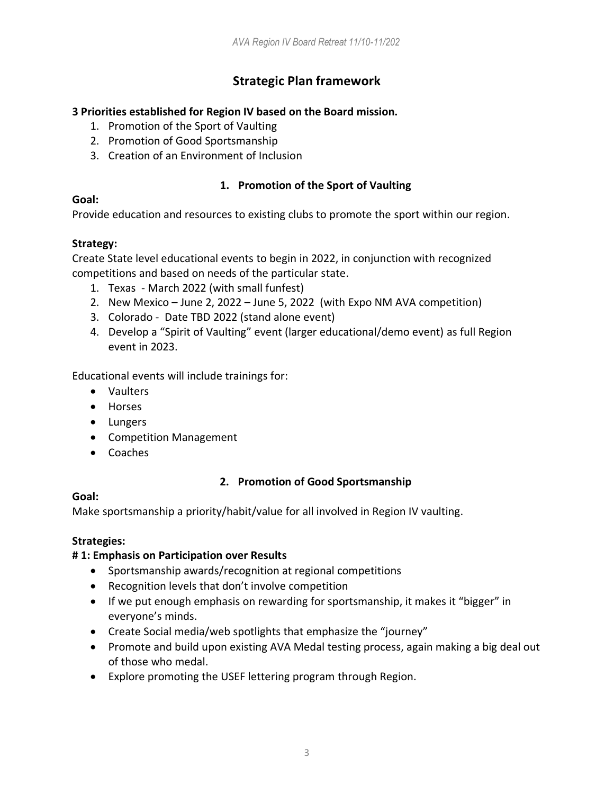# **Strategic Plan framework**

## **3 Priorities established for Region IV based on the Board mission.**

- 1. Promotion of the Sport of Vaulting
- 2. Promotion of Good Sportsmanship
- 3. Creation of an Environment of Inclusion

# **1. Promotion of the Sport of Vaulting**

## **Goal:**

Provide education and resources to existing clubs to promote the sport within our region.

## **Strategy:**

Create State level educational events to begin in 2022, in conjunction with recognized competitions and based on needs of the particular state.

- 1. Texas March 2022 (with small funfest)
- 2. New Mexico June 2, 2022 June 5, 2022 (with Expo NM AVA competition)
- 3. Colorado Date TBD 2022 (stand alone event)
- 4. Develop a "Spirit of Vaulting" event (larger educational/demo event) as full Region event in 2023.

Educational events will include trainings for:

- Vaulters
- Horses
- Lungers
- Competition Management
- Coaches

# **2. Promotion of Good Sportsmanship**

## **Goal:**

Make sportsmanship a priority/habit/value for all involved in Region IV vaulting.

## **Strategies:**

## **# 1: Emphasis on Participation over Results**

- Sportsmanship awards/recognition at regional competitions
- Recognition levels that don't involve competition
- If we put enough emphasis on rewarding for sportsmanship, it makes it "bigger" in everyone's minds.
- Create Social media/web spotlights that emphasize the "journey"
- Promote and build upon existing AVA Medal testing process, again making a big deal out of those who medal.
- Explore promoting the USEF lettering program through Region.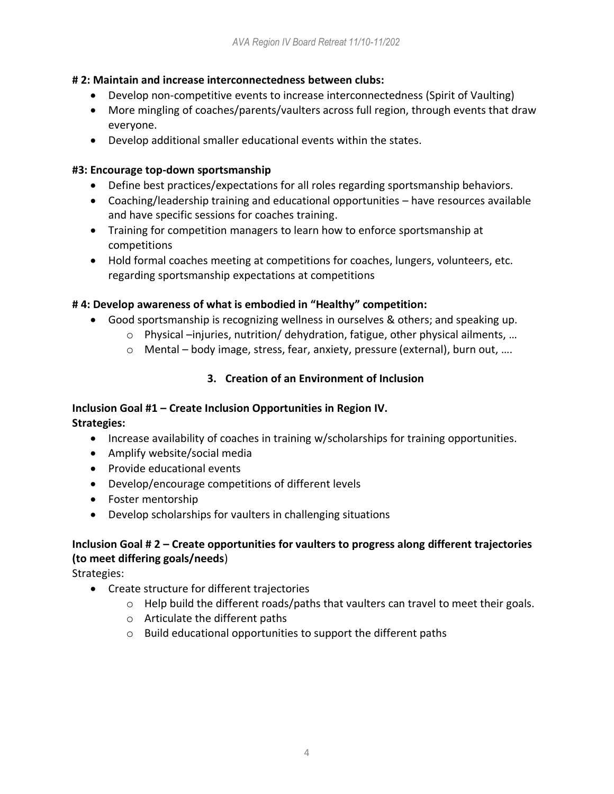## **# 2: Maintain and increase interconnectedness between clubs:**

- Develop non-competitive events to increase interconnectedness (Spirit of Vaulting)
- More mingling of coaches/parents/vaulters across full region, through events that draw everyone.
- Develop additional smaller educational events within the states.

## **#3: Encourage top-down sportsmanship**

- Define best practices/expectations for all roles regarding sportsmanship behaviors.
- Coaching/leadership training and educational opportunities have resources available and have specific sessions for coaches training.
- Training for competition managers to learn how to enforce sportsmanship at competitions
- Hold formal coaches meeting at competitions for coaches, lungers, volunteers, etc. regarding sportsmanship expectations at competitions

# **# 4: Develop awareness of what is embodied in "Healthy" competition:**

- Good sportsmanship is recognizing wellness in ourselves & others; and speaking up.
	- $\circ$  Physical –injuries, nutrition/ dehydration, fatigue, other physical ailments, ...
	- o Mental body image, stress, fear, anxiety, pressure (external), burn out, ….

# **3. Creation of an Environment of Inclusion**

## **Inclusion Goal #1 – Create Inclusion Opportunities in Region IV. Strategies:**

- Increase availability of coaches in training w/scholarships for training opportunities.
- Amplify website/social media
- Provide educational events
- Develop/encourage competitions of different levels
- Foster mentorship
- Develop scholarships for vaulters in challenging situations

# **Inclusion Goal # 2 – Create opportunities for vaulters to progress along different trajectories (to meet differing goals/needs**)

Strategies:

- Create structure for different trajectories
	- $\circ$  Help build the different roads/paths that vaulters can travel to meet their goals.
	- o Articulate the different paths
	- $\circ$  Build educational opportunities to support the different paths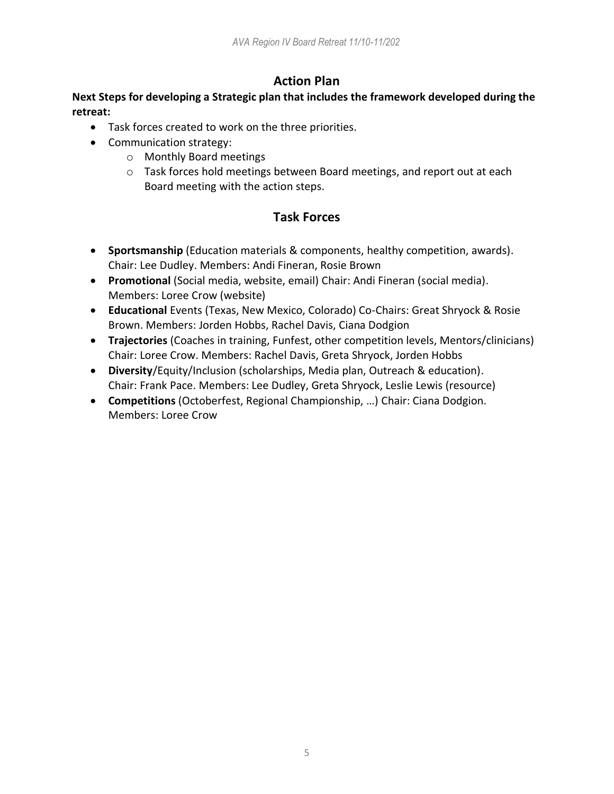# **Action Plan**

# **Next Steps for developing a Strategic plan that includes the framework developed during the retreat:**

- Task forces created to work on the three priorities.
- Communication strategy:
	- o Monthly Board meetings
	- $\circ$  Task forces hold meetings between Board meetings, and report out at each Board meeting with the action steps.

# **Task Forces**

- **Sportsmanship** (Education materials & components, healthy competition, awards). Chair: Lee Dudley. Members: Andi Fineran, Rosie Brown
- **Promotional** (Social media, website, email) Chair: Andi Fineran (social media). Members: Loree Crow (website)
- **Educational** Events (Texas, New Mexico, Colorado) Co-Chairs: Great Shryock & Rosie Brown. Members: Jorden Hobbs, Rachel Davis, Ciana Dodgion
- **Trajectories** (Coaches in training, Funfest, other competition levels, Mentors/clinicians) Chair: Loree Crow. Members: Rachel Davis, Greta Shryock, Jorden Hobbs
- **Diversity**/Equity/Inclusion (scholarships, Media plan, Outreach & education). Chair: Frank Pace. Members: Lee Dudley, Greta Shryock, Leslie Lewis (resource)
- **Competitions** (Octoberfest, Regional Championship, …) Chair: Ciana Dodgion. Members: Loree Crow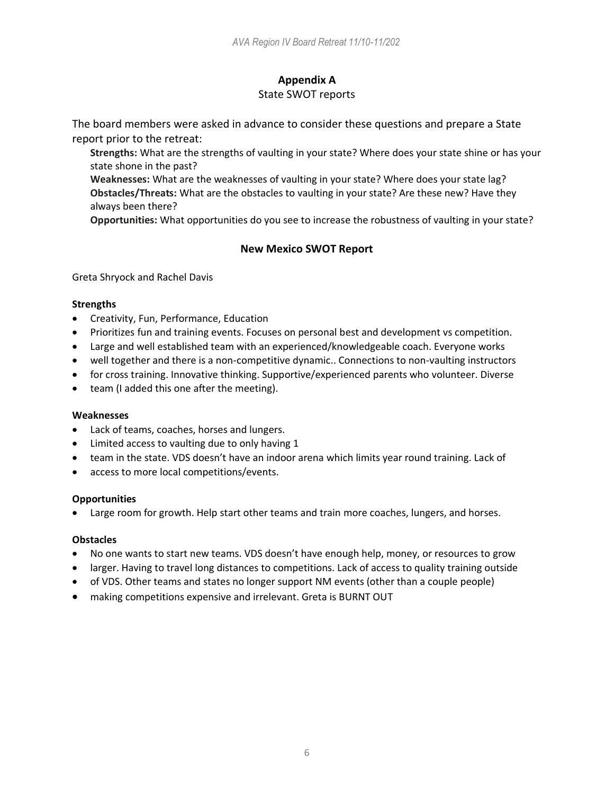# **Appendix A**

## State SWOT reports

The board members were asked in advance to consider these questions and prepare a State report prior to the retreat:

**Strengths:** What are the strengths of vaulting in your state? Where does your state shine or has your state shone in the past?

**Weaknesses:** What are the weaknesses of vaulting in your state? Where does your state lag? **Obstacles/Threats:** What are the obstacles to vaulting in your state? Are these new? Have they always been there?

**Opportunities:** What opportunities do you see to increase the robustness of vaulting in your state?

## **New Mexico SWOT Report**

Greta Shryock and Rachel Davis

### **Strengths**

- Creativity, Fun, Performance, Education
- Prioritizes fun and training events. Focuses on personal best and development vs competition.
- Large and well established team with an experienced/knowledgeable coach. Everyone works
- well together and there is a non-competitive dynamic.. Connections to non-vaulting instructors
- for cross training. Innovative thinking. Supportive/experienced parents who volunteer. Diverse
- team (I added this one after the meeting).

### **Weaknesses**

- Lack of teams, coaches, horses and lungers.
- Limited access to vaulting due to only having 1
- team in the state. VDS doesn't have an indoor arena which limits year round training. Lack of
- access to more local competitions/events.

### **Opportunities**

Large room for growth. Help start other teams and train more coaches, lungers, and horses.

### **Obstacles**

- No one wants to start new teams. VDS doesn't have enough help, money, or resources to grow
- larger. Having to travel long distances to competitions. Lack of access to quality training outside
- of VDS. Other teams and states no longer support NM events (other than a couple people)
- making competitions expensive and irrelevant. Greta is BURNT OUT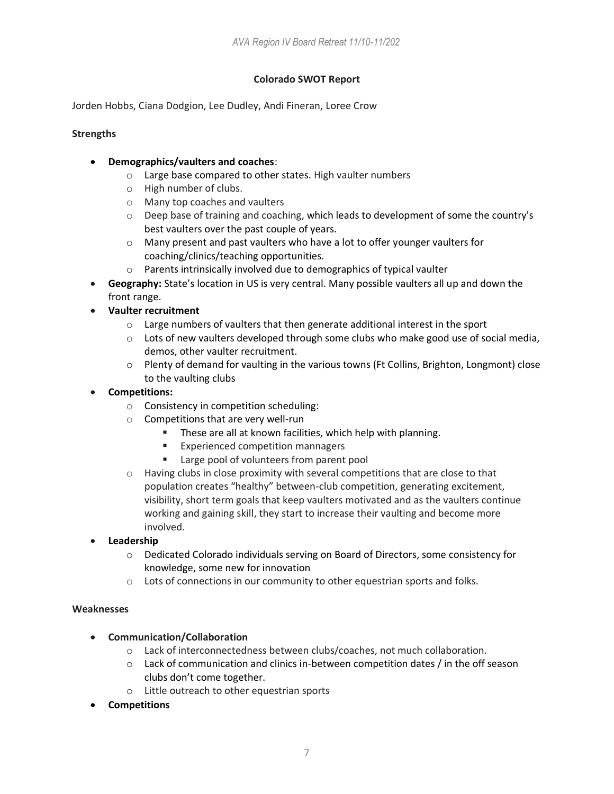### **Colorado SWOT Report**

Jorden Hobbs, Ciana Dodgion, Lee Dudley, Andi Fineran, Loree Crow

### **Strengths**

- **Demographics/vaulters and coaches**:
	- o Large base compared to other states. High vaulter numbers
	- o High number of clubs.
	- o Many top coaches and vaulters
	- o Deep base of training and coaching, which leads to development of some the country's best vaulters over the past couple of years.
	- o Many present and past vaulters who have a lot to offer younger vaulters for coaching/clinics/teaching opportunities.
	- o Parents intrinsically involved due to demographics of typical vaulter
- **Geography:** State's location in US is very central. Many possible vaulters all up and down the front range.
- **Vaulter recruitment**
	- o Large numbers of vaulters that then generate additional interest in the sport
	- $\circ$  Lots of new vaulters developed through some clubs who make good use of social media, demos, other vaulter recruitment.
	- $\circ$  Plenty of demand for vaulting in the various towns (Ft Collins, Brighton, Longmont) close to the vaulting clubs
- **Competitions:**
	- o Consistency in competition scheduling:
	- o Competitions that are very well-run
		- These are all at known facilities, which help with planning.
		- Experienced competition mannagers
		- Large pool of volunteers from parent pool
	- $\circ$  Having clubs in close proximity with several competitions that are close to that population creates "healthy" between-club competition, generating excitement, visibility, short term goals that keep vaulters motivated and as the vaulters continue working and gaining skill, they start to increase their vaulting and become more involved.
- **Leadership**
	- o Dedicated Colorado individuals serving on Board of Directors, some consistency for knowledge, some new for innovation
	- $\circ$  Lots of connections in our community to other equestrian sports and folks.

### **Weaknesses**

- **Communication/Collaboration**
	- o Lack of interconnectedness between clubs/coaches, not much collaboration.
	- $\circ$  Lack of communication and clinics in-between competition dates / in the off season clubs don't come together.
	- o Little outreach to other equestrian sports
- **Competitions**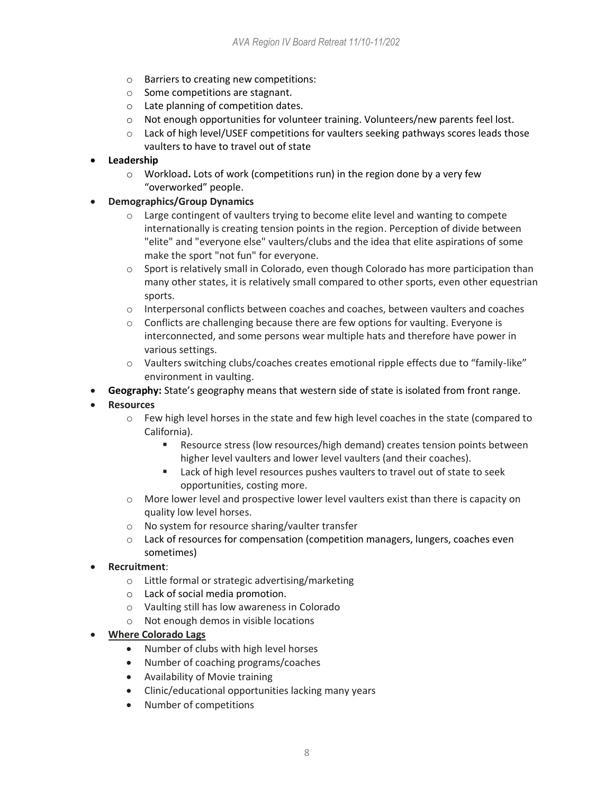- o Barriers to creating new competitions:
- o Some competitions are stagnant.
- o Late planning of competition dates.
- o Not enough opportunities for volunteer training. Volunteers/new parents feel lost.
- $\circ$  Lack of high level/USEF competitions for vaulters seeking pathways scores leads those vaulters to have to travel out of state

### • **Leadership**

- o Workload**.** Lots of work (competitions run) in the region done by a very few "overworked" people.
- **Demographics/Group Dynamics**
	- o Large contingent of vaulters trying to become elite level and wanting to compete internationally is creating tension points in the region. Perception of divide between "elite" and "everyone else" vaulters/clubs and the idea that elite aspirations of some make the sport "not fun" for everyone.
	- o Sport is relatively small in Colorado, even though Colorado has more participation than many other states, it is relatively small compared to other sports, even other equestrian sports.
	- o Interpersonal conflicts between coaches and coaches, between vaulters and coaches
	- $\circ$  Conflicts are challenging because there are few options for vaulting. Everyone is interconnected, and some persons wear multiple hats and therefore have power in various settings.
	- o Vaulters switching clubs/coaches creates emotional ripple effects due to "family-like" environment in vaulting.
- **Geography:** State's geography means that western side of state is isolated from front range.
- **Resources**
	- o Few high level horses in the state and few high level coaches in the state (compared to California).
		- Resource stress (low resources/high demand) creates tension points between higher level vaulters and lower level vaulters (and their coaches).
		- Lack of high level resources pushes vaulters to travel out of state to seek opportunities, costing more.
	- $\circ$  More lower level and prospective lower level vaulters exist than there is capacity on quality low level horses.
	- o No system for resource sharing/vaulter transfer
	- o Lack of resources for compensation (competition managers, lungers, coaches even sometimes)
- **Recruitment**:
	- o Little formal or strategic advertising/marketing
	- o Lack of social media promotion.
	- o Vaulting still has low awareness in Colorado
	- o Not enough demos in visible locations
- **Where Colorado Lags**
	- Number of clubs with high level horses
	- Number of coaching programs/coaches
	- Availability of Movie training
	- Clinic/educational opportunities lacking many years
	- Number of competitions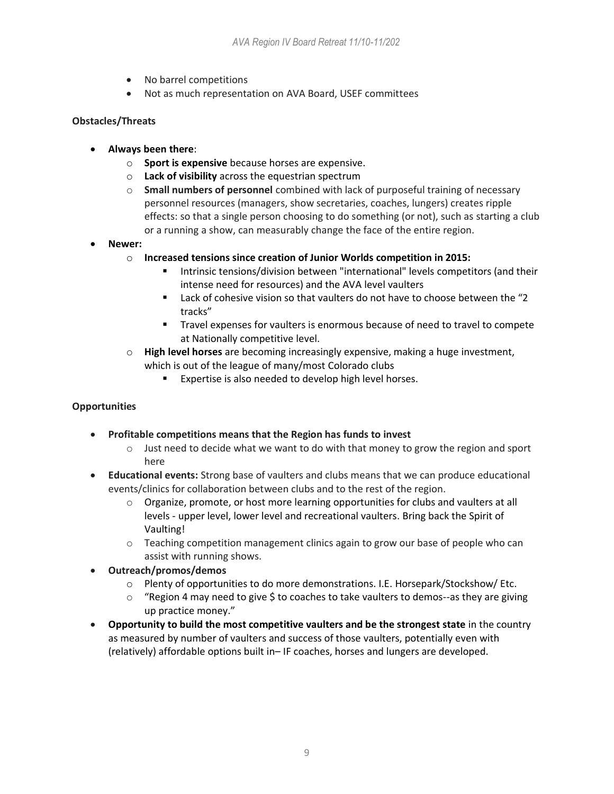- No barrel competitions
- Not as much representation on AVA Board, USEF committees

## **Obstacles/Threats**

- **Always been there**:
	- o **Sport is expensive** because horses are expensive.
	- o **Lack of visibility** across the equestrian spectrum
	- o **Small numbers of personnel** combined with lack of purposeful training of necessary personnel resources (managers, show secretaries, coaches, lungers) creates ripple effects: so that a single person choosing to do something (or not), such as starting a club or a running a show, can measurably change the face of the entire region.
- **Newer:**
	- o **Increased tensions since creation of Junior Worlds competition in 2015:**
		- Intrinsic tensions/division between "international" levels competitors (and their intense need for resources) and the AVA level vaulters
		- Lack of cohesive vision so that vaulters do not have to choose between the "2 tracks"
		- Travel expenses for vaulters is enormous because of need to travel to compete at Nationally competitive level.
	- o **High level horses** are becoming increasingly expensive, making a huge investment, which is out of the league of many/most Colorado clubs
		- Expertise is also needed to develop high level horses.

### **Opportunities**

- **Profitable competitions means that the Region has funds to invest**
	- $\circ$  Just need to decide what we want to do with that money to grow the region and sport here
- **Educational events:** Strong base of vaulters and clubs means that we can produce educational events/clinics for collaboration between clubs and to the rest of the region.
	- $\circ$  Organize, promote, or host more learning opportunities for clubs and vaulters at all levels - upper level, lower level and recreational vaulters. Bring back the Spirit of Vaulting!
	- o Teaching competition management clinics again to grow our base of people who can assist with running shows.
- **Outreach/promos/demos**
	- o Plenty of opportunities to do more demonstrations. I.E. Horsepark/Stockshow/ Etc.
	- $\circ$  "Region 4 may need to give \$ to coaches to take vaulters to demos--as they are giving up practice money."
- **Opportunity to build the most competitive vaulters and be the strongest state** in the country as measured by number of vaulters and success of those vaulters, potentially even with (relatively) affordable options built in– IF coaches, horses and lungers are developed.